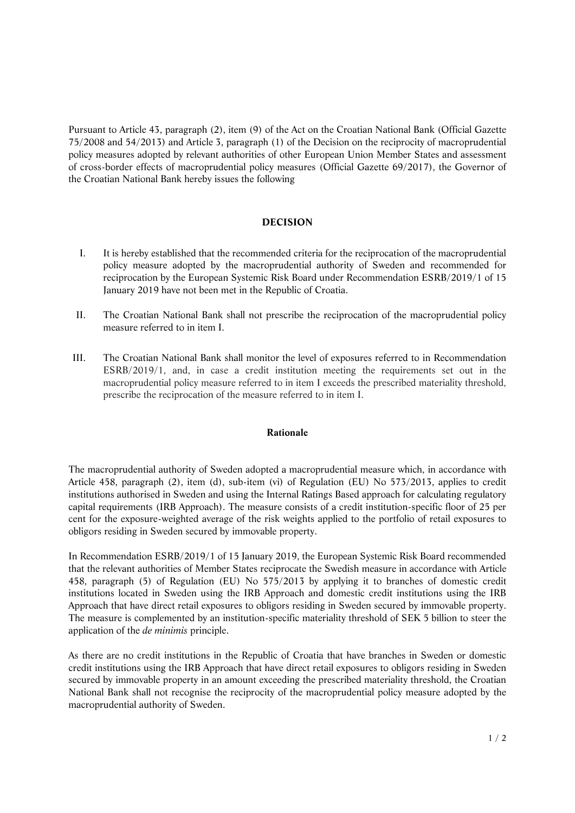Pursuant to Article 43, paragraph (2), item (9) of the Act on the Croatian National Bank (Official Gazette 75/2008 and 54/2013) and Article 3, paragraph (1) of the Decision on the reciprocity of macroprudential policy measures adopted by relevant authorities of other European Union Member States and assessment of cross-border effects of macroprudential policy measures (Official Gazette 69/2017), the Governor of the Croatian National Bank hereby issues the following

## **DECISION**

- I. It is hereby established that the recommended criteria for the reciprocation of the macroprudential policy measure adopted by the macroprudential authority of Sweden and recommended for reciprocation by the European Systemic Risk Board under Recommendation ESRB/2019/1 of 15 January 2019 have not been met in the Republic of Croatia.
- II. The Croatian National Bank shall not prescribe the reciprocation of the macroprudential policy measure referred to in item I.
- III. The Croatian National Bank shall monitor the level of exposures referred to in Recommendation ESRB/2019/1, and, in case a credit institution meeting the requirements set out in the macroprudential policy measure referred to in item I exceeds the prescribed materiality threshold, prescribe the reciprocation of the measure referred to in item I.

## **Rationale**

The macroprudential authority of Sweden adopted a macroprudential measure which, in accordance with Article 458, paragraph (2), item (d), sub-item (vi) of Regulation (EU) No 573/2013, applies to credit institutions authorised in Sweden and using the Internal Ratings Based approach for calculating regulatory capital requirements (IRB Approach). The measure consists of a credit institution-specific floor of 25 per cent for the exposure-weighted average of the risk weights applied to the portfolio of retail exposures to obligors residing in Sweden secured by immovable property.

In Recommendation ESRB/2019/1 of 15 January 2019, the European Systemic Risk Board recommended that the relevant authorities of Member States reciprocate the Swedish measure in accordance with Article 458, paragraph (5) of Regulation (EU) No 575/2013 by applying it to branches of domestic credit institutions located in Sweden using the IRB Approach and domestic credit institutions using the IRB Approach that have direct retail exposures to obligors residing in Sweden secured by immovable property. The measure is complemented by an institution-specific materiality threshold of SEK 5 billion to steer the application of the *de minimis* principle.

As there are no credit institutions in the Republic of Croatia that have branches in Sweden or domestic credit institutions using the IRB Approach that have direct retail exposures to obligors residing in Sweden secured by immovable property in an amount exceeding the prescribed materiality threshold, the Croatian National Bank shall not recognise the reciprocity of the macroprudential policy measure adopted by the macroprudential authority of Sweden.